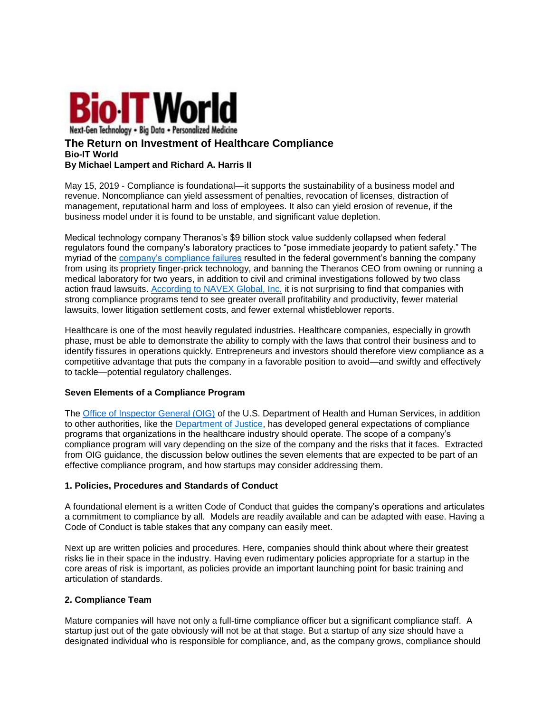

## **The Return on Investment of Healthcare Compliance Bio-IT World By Michael Lampert and Richard A. Harris II**

May 15, 2019 - Compliance is foundational—it supports the sustainability of a business model and revenue. Noncompliance can yield assessment of penalties, revocation of licenses, distraction of management, reputational harm and loss of employees. It also can yield erosion of revenue, if the business model under it is found to be unstable, and significant value depletion.

Medical technology company Theranos's \$9 billion stock value suddenly collapsed when federal regulators found the company's laboratory practices to "pose immediate jeopardy to patient safety." The myriad of the [company's compliance failures](https://www.vanityfair.com/news/2016/09/elizabeth-holmes-theranos-exclusive) resulted in the federal government's banning the company from using its propriety finger-prick technology, and banning the Theranos CEO from owning or running a medical laboratory for two years, in addition to civil and criminal investigations followed by two class action fraud lawsuits. [According to NAVEX Global, Inc.](https://www.navexglobal.com/en-us/campaigns/roi-of-compliance-ppc?gclid=EAIaIQobChMImK__k9_M3gIVhspkCh2iHQPHEAAYASAAEgK9CvD_BwE) it is not surprising to find that companies with strong compliance programs tend to see greater overall profitability and productivity, fewer material lawsuits, lower litigation settlement costs, and fewer external whistleblower reports.

Healthcare is one of the most heavily regulated industries. Healthcare companies, especially in growth phase, must be able to demonstrate the ability to comply with the laws that control their business and to identify fissures in operations quickly. Entrepreneurs and investors should therefore view compliance as a competitive advantage that puts the company in a favorable position to avoid—and swiftly and effectively to tackle—potential regulatory challenges.

#### **Seven Elements of a Compliance Program**

The [Office of Inspector General \(OIG\)](https://www.federalregister.gov/documents/2005/01/31/05-1620/oig-supplemental-compliance-program-guidance-for-hospitals) of the U.S. Department of Health and Human Services, in addition to other authorities, like the [Department of Justice,](https://www.justice.gov/criminal-fraud/page/file/937501/download) has developed general expectations of compliance programs that organizations in the healthcare industry should operate. The scope of a company's compliance program will vary depending on the size of the company and the risks that it faces. Extracted from OIG guidance, the discussion below outlines the seven elements that are expected to be part of an effective compliance program, and how startups may consider addressing them.

## **1. Policies, Procedures and Standards of Conduct**

A foundational element is a written Code of Conduct that guides the company's operations and articulates a commitment to compliance by all. Models are readily available and can be adapted with ease. Having a Code of Conduct is table stakes that any company can easily meet.

Next up are written policies and procedures. Here, companies should think about where their greatest risks lie in their space in the industry. Having even rudimentary policies appropriate for a startup in the core areas of risk is important, as policies provide an important launching point for basic training and articulation of standards.

#### **2. Compliance Team**

Mature companies will have not only a full-time compliance officer but a significant compliance staff. A startup just out of the gate obviously will not be at that stage. But a startup of any size should have a designated individual who is responsible for compliance, and, as the company grows, compliance should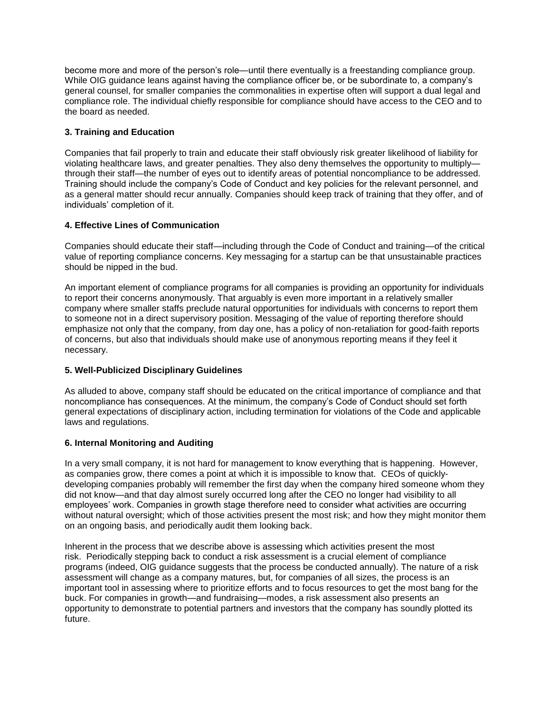become more and more of the person's role—until there eventually is a freestanding compliance group. While OIG guidance leans against having the compliance officer be, or be subordinate to, a company's general counsel, for smaller companies the commonalities in expertise often will support a dual legal and compliance role. The individual chiefly responsible for compliance should have access to the CEO and to the board as needed.

# **3. Training and Education**

Companies that fail properly to train and educate their staff obviously risk greater likelihood of liability for violating healthcare laws, and greater penalties. They also deny themselves the opportunity to multiply through their staff—the number of eyes out to identify areas of potential noncompliance to be addressed. Training should include the company's Code of Conduct and key policies for the relevant personnel, and as a general matter should recur annually. Companies should keep track of training that they offer, and of individuals' completion of it.

## **4. Effective Lines of Communication**

Companies should educate their staff—including through the Code of Conduct and training—of the critical value of reporting compliance concerns. Key messaging for a startup can be that unsustainable practices should be nipped in the bud.

An important element of compliance programs for all companies is providing an opportunity for individuals to report their concerns anonymously. That arguably is even more important in a relatively smaller company where smaller staffs preclude natural opportunities for individuals with concerns to report them to someone not in a direct supervisory position. Messaging of the value of reporting therefore should emphasize not only that the company, from day one, has a policy of non-retaliation for good-faith reports of concerns, but also that individuals should make use of anonymous reporting means if they feel it necessary.

## **5. Well-Publicized Disciplinary Guidelines**

As alluded to above, company staff should be educated on the critical importance of compliance and that noncompliance has consequences. At the minimum, the company's Code of Conduct should set forth general expectations of disciplinary action, including termination for violations of the Code and applicable laws and regulations.

## **6. Internal Monitoring and Auditing**

In a very small company, it is not hard for management to know everything that is happening. However, as companies grow, there comes a point at which it is impossible to know that. CEOs of quicklydeveloping companies probably will remember the first day when the company hired someone whom they did not know—and that day almost surely occurred long after the CEO no longer had visibility to all employees' work. Companies in growth stage therefore need to consider what activities are occurring without natural oversight; which of those activities present the most risk; and how they might monitor them on an ongoing basis, and periodically audit them looking back.

Inherent in the process that we describe above is assessing which activities present the most risk. Periodically stepping back to conduct a risk assessment is a crucial element of compliance programs (indeed, OIG guidance suggests that the process be conducted annually). The nature of a risk assessment will change as a company matures, but, for companies of all sizes, the process is an important tool in assessing where to prioritize efforts and to focus resources to get the most bang for the buck. For companies in growth—and fundraising—modes, a risk assessment also presents an opportunity to demonstrate to potential partners and investors that the company has soundly plotted its future.